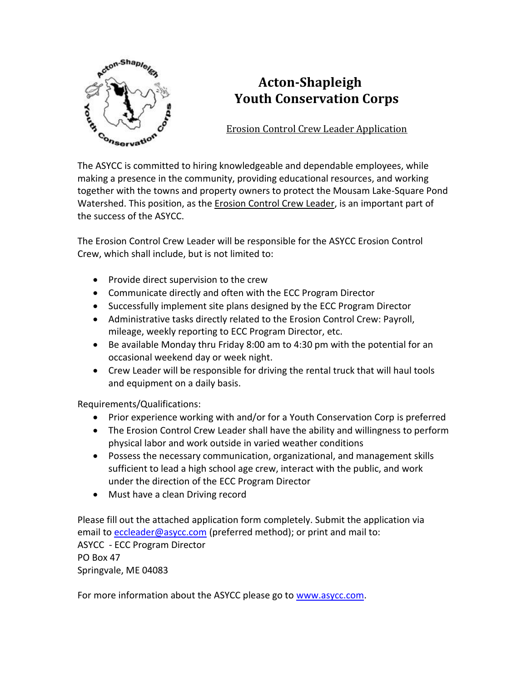

# **Acton-Shapleigh Youth Conservation Corps**

Erosion Control Crew Leader Application

The ASYCC is committed to hiring knowledgeable and dependable employees, while making a presence in the community, providing educational resources, and working together with the towns and property owners to protect the Mousam Lake-Square Pond Watershed. This position, as the Erosion Control Crew Leader, is an important part of the success of the ASYCC.

The Erosion Control Crew Leader will be responsible for the ASYCC Erosion Control Crew, which shall include, but is not limited to:

- Provide direct supervision to the crew
- Communicate directly and often with the ECC Program Director
- Successfully implement site plans designed by the ECC Program Director
- Administrative tasks directly related to the Erosion Control Crew: Payroll, mileage, weekly reporting to ECC Program Director, etc.
- Be available Monday thru Friday 8:00 am to 4:30 pm with the potential for an occasional weekend day or week night.
- Crew Leader will be responsible for driving the rental truck that will haul tools and equipment on a daily basis.

Requirements/Qualifications:

- Prior experience working with and/or for a Youth Conservation Corp is preferred
- The Erosion Control Crew Leader shall have the ability and willingness to perform physical labor and work outside in varied weather conditions
- Possess the necessary communication, organizational, and management skills sufficient to lead a high school age crew, interact with the public, and work under the direction of the ECC Program Director
- Must have a clean Driving record

Please fill out the attached application form completely. Submit the application via email to [eccleader@asycc.com](mailto:eccleader@asycc.com) (preferred method); or print and mail to: ASYCC - ECC Program Director PO Box 47 Springvale, ME 04083

For more information about the ASYCC please go to [www.asycc.com.](http://www.asycc.com/)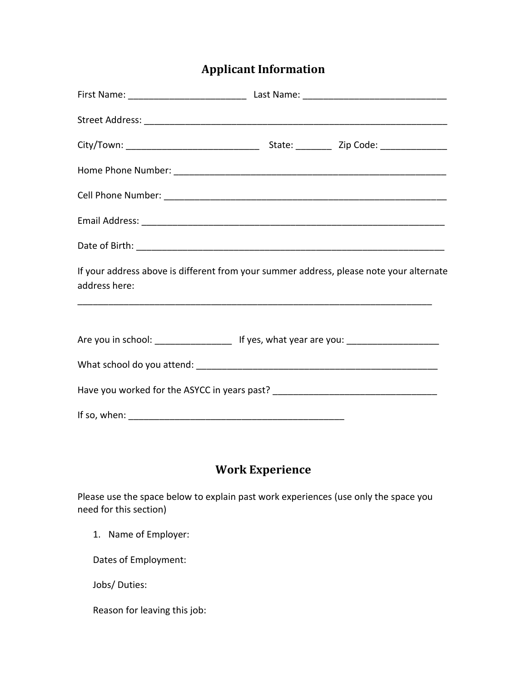## **Applicant Information**

| If your address above is different from your summer address, please note your alternate<br>address here: |  |
|----------------------------------------------------------------------------------------------------------|--|
|                                                                                                          |  |
| Are you in school: ________________________ If yes, what year are you: ____________________________      |  |
|                                                                                                          |  |
| Have you worked for the ASYCC in years past? ___________________________________                         |  |
|                                                                                                          |  |

#### **Work Experience**

Please use the space below to explain past work experiences (use only the space you need for this section)

1. Name of Employer:

Dates of Employment:

Jobs/ Duties:

Reason for leaving this job: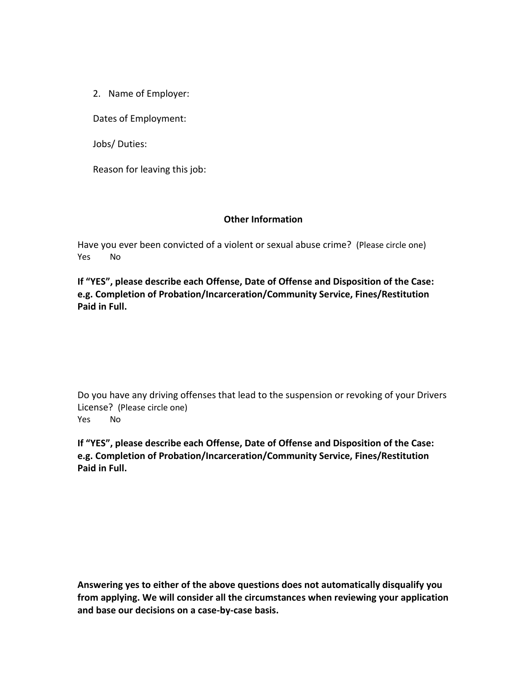2. Name of Employer:

Dates of Employment:

Jobs/ Duties:

Reason for leaving this job:

#### **Other Information**

Have you ever been convicted of a violent or sexual abuse crime? (Please circle one) Yes No

**If "YES", please describe each Offense, Date of Offense and Disposition of the Case: e.g. Completion of Probation/Incarceration/Community Service, Fines/Restitution Paid in Full.** 

Do you have any driving offenses that lead to the suspension or revoking of your Drivers License? (Please circle one) Yes No

**If "YES", please describe each Offense, Date of Offense and Disposition of the Case: e.g. Completion of Probation/Incarceration/Community Service, Fines/Restitution Paid in Full.** 

**Answering yes to either of the above questions does not automatically disqualify you from applying. We will consider all the circumstances when reviewing your application and base our decisions on a case-by-case basis.**